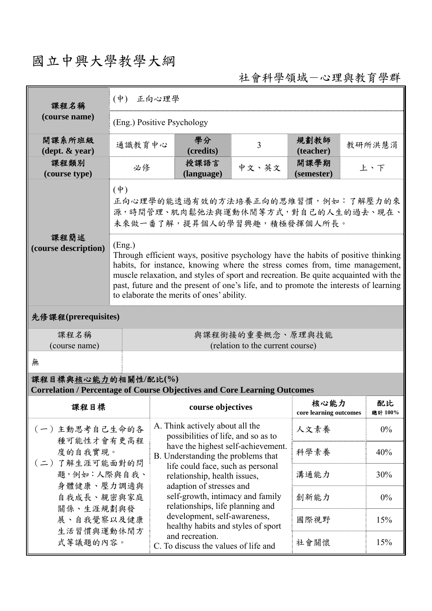## 國立中興大學教學大綱

社會科學領域-心理與教育學群

| 課程名稱<br>(course name)                                                                         | $(\dot{\Psi})$<br>正向心理學                                                                                                                                                                                                                                                                                                                                                                               |                                                                                                                                                                                                                                                                                                        |                   |                    |                        |         |  |  |  |  |
|-----------------------------------------------------------------------------------------------|-------------------------------------------------------------------------------------------------------------------------------------------------------------------------------------------------------------------------------------------------------------------------------------------------------------------------------------------------------------------------------------------------------|--------------------------------------------------------------------------------------------------------------------------------------------------------------------------------------------------------------------------------------------------------------------------------------------------------|-------------------|--------------------|------------------------|---------|--|--|--|--|
|                                                                                               | (Eng.) Positive Psychology                                                                                                                                                                                                                                                                                                                                                                            |                                                                                                                                                                                                                                                                                                        |                   |                    |                        |         |  |  |  |  |
| 開課系所班級<br>$(\text{dept.} \& \text{ year})$<br>課程類別<br>(course type)                           | 通識教育中心                                                                                                                                                                                                                                                                                                                                                                                                | 學分<br>(credits)                                                                                                                                                                                                                                                                                        | $\overline{3}$    |                    | 教研所洪慧涓                 |         |  |  |  |  |
|                                                                                               | 必修                                                                                                                                                                                                                                                                                                                                                                                                    | 授課語言<br>(language)                                                                                                                                                                                                                                                                                     | 中文、英文             | 開課學期<br>(semester) | 上、下                    |         |  |  |  |  |
| 課程簡述<br>(course description)                                                                  | $(\dagger)$<br>正向心理學的能透過有效的方法培養正向的思維習慣,例如:了解壓力的來<br>源,時間管理、肌肉鬆弛法與運動休閒等方式,對自己的人生的過去、現在、<br>未來做一番了解,提昇個人的學習興趣,積極發揮個人所長。                                                                                                                                                                                                                                                                                 |                                                                                                                                                                                                                                                                                                        |                   |                    |                        |         |  |  |  |  |
|                                                                                               | (Eng.)<br>Through efficient ways, positive psychology have the habits of positive thinking<br>habits, for instance, knowing where the stress comes from, time management,<br>muscle relaxation, and styles of sport and recreation. Be quite acquainted with the<br>past, future and the present of one's life, and to promote the interests of learning<br>to elaborate the merits of ones' ability. |                                                                                                                                                                                                                                                                                                        |                   |                    |                        |         |  |  |  |  |
| 先修課程(prerequisites)                                                                           |                                                                                                                                                                                                                                                                                                                                                                                                       |                                                                                                                                                                                                                                                                                                        |                   |                    |                        |         |  |  |  |  |
| 課程名稱<br>(course name)                                                                         | 與課程銜接的重要概念、原理與技能                                                                                                                                                                                                                                                                                                                                                                                      |                                                                                                                                                                                                                                                                                                        |                   |                    |                        |         |  |  |  |  |
| 無                                                                                             | (relation to the current course)                                                                                                                                                                                                                                                                                                                                                                      |                                                                                                                                                                                                                                                                                                        |                   |                    |                        |         |  |  |  |  |
| 課程目標與核心能力的相關性/配比(%)                                                                           |                                                                                                                                                                                                                                                                                                                                                                                                       |                                                                                                                                                                                                                                                                                                        |                   |                    |                        |         |  |  |  |  |
| <b>Correlation / Percentage of Course Objectives and Core Learning Outcomes</b><br>核心能力<br>配比 |                                                                                                                                                                                                                                                                                                                                                                                                       |                                                                                                                                                                                                                                                                                                        |                   |                    |                        |         |  |  |  |  |
| 課程目標                                                                                          |                                                                                                                                                                                                                                                                                                                                                                                                       |                                                                                                                                                                                                                                                                                                        | course objectives |                    | core learning outcomes | 總計 100% |  |  |  |  |
| (一)主動思考自己生命的各<br>種可能性才會有更高程<br>度的自我實現。<br>(二)了解生涯可能面對的問                                       |                                                                                                                                                                                                                                                                                                                                                                                                       | A. Think actively about all the<br>possibilities of life, and so as to                                                                                                                                                                                                                                 |                   | 人文素養               |                        | $0\%$   |  |  |  |  |
|                                                                                               |                                                                                                                                                                                                                                                                                                                                                                                                       | have the highest self-achievement.<br>B. Understanding the problems that                                                                                                                                                                                                                               | 科學素養              |                    | 40%                    |         |  |  |  |  |
| 題,例如:人際與自我、<br>身體健康、壓力調適與                                                                     |                                                                                                                                                                                                                                                                                                                                                                                                       | life could face, such as personal<br>relationship, health issues,<br>adaption of stresses and<br>self-growth, intimacy and family<br>relationships, life planning and<br>development, self-awareness,<br>healthy habits and styles of sport<br>and recreation.<br>C. To discuss the values of life and |                   | 溝通能力               |                        | 30%     |  |  |  |  |
| 自我成長、親密與家庭<br>關係、生涯規劃與發<br>展、自我覺察以及健康<br>生活習慣與運動休閒方<br>式等議題的內容。                               |                                                                                                                                                                                                                                                                                                                                                                                                       |                                                                                                                                                                                                                                                                                                        |                   | 創新能力               |                        | $0\%$   |  |  |  |  |
|                                                                                               |                                                                                                                                                                                                                                                                                                                                                                                                       |                                                                                                                                                                                                                                                                                                        |                   | 國際視野               |                        | 15%     |  |  |  |  |
|                                                                                               |                                                                                                                                                                                                                                                                                                                                                                                                       |                                                                                                                                                                                                                                                                                                        |                   | 社會關懷               |                        | 15%     |  |  |  |  |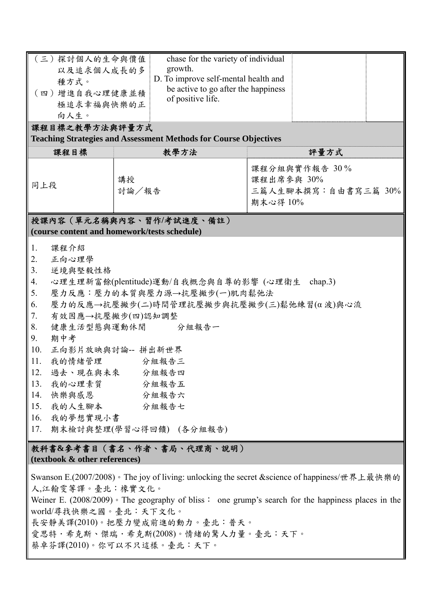| (三)探討個人的生命與價值<br>以及追求個人成長的多<br>種方式。<br>(四)增進自我心理健康並積<br>極追求幸福與快樂的正<br>向人生。<br>課程目標之教學方法與評量方式                                                                                                                                                                                                                                                                                                                                                                                                                      |             | chase for the variety of individual<br>growth.<br>D. To improve self-mental health and<br>be active to go after the happiness<br>of positive life. |                                                               |      |  |  |  |  |  |
|-------------------------------------------------------------------------------------------------------------------------------------------------------------------------------------------------------------------------------------------------------------------------------------------------------------------------------------------------------------------------------------------------------------------------------------------------------------------------------------------------------------------|-------------|----------------------------------------------------------------------------------------------------------------------------------------------------|---------------------------------------------------------------|------|--|--|--|--|--|
| <b>Teaching Strategies and Assessment Methods for Course Objectives</b>                                                                                                                                                                                                                                                                                                                                                                                                                                           |             |                                                                                                                                                    |                                                               |      |  |  |  |  |  |
| 課程目標                                                                                                                                                                                                                                                                                                                                                                                                                                                                                                              |             | 教學方法                                                                                                                                               |                                                               | 評量方式 |  |  |  |  |  |
| 同上段                                                                                                                                                                                                                                                                                                                                                                                                                                                                                                               | 講授<br>討論/報告 |                                                                                                                                                    | 課程分組與實作報告 30%<br>課程出席參與 30%<br>三篇人生腳本撰寫:自由書寫三篇 30%<br>期末心得10% |      |  |  |  |  |  |
| 授課內容(單元名稱與內容、習作/考試進度、備註)                                                                                                                                                                                                                                                                                                                                                                                                                                                                                          |             |                                                                                                                                                    |                                                               |      |  |  |  |  |  |
| (course content and homework/tests schedule)<br>1.<br>課程介紹<br>正向心理學<br>2.<br>逆境與堅毅性格<br>3.<br>心理生理新富餘(plentitude)運動/自我概念與自尊的影響 (心理衛生 chap.3)<br>4.<br>5.<br>壓力反應:壓力的本質與壓力源→抗壓撇步(一)肌肉鬆弛法<br>壓力的反應→抗壓撇步(二)時間管理抗壓撇步與抗壓撇步(三)鬆弛練習(α波)與心流<br>6.<br>有效因應→抗壓撇步(四)認知調整<br>7.<br>8.<br>健康生活型態與運動休閒 分組報告一<br>期中考<br>9.<br>10.<br>正向影片放映與討論 -- 拼出新世界<br>11.<br>我的情绪管理 分組報告三<br>12. 過去、現在與未來 分組報告四<br>13.<br>我的心理素質<br>分組報告五<br>14.<br>快樂與感恩 分組報告六<br>15.<br>我的人生腳本 分組報告七<br>16.<br>我的夢想實現小書<br>期末檢討與整理(學習心得回饋) (各分組報告)<br>17. |             |                                                                                                                                                    |                                                               |      |  |  |  |  |  |
| 教科書&參考書目(書名、作者、書局、代理商、說明)<br>(textbook & other references)                                                                                                                                                                                                                                                                                                                                                                                                                                                        |             |                                                                                                                                                    |                                                               |      |  |  |  |  |  |
| Swanson E.(2007/2008) • The joy of living: unlocking the secret & science of happiness/世界上最快樂的<br>人,江翰雯等譯。臺北:橡實文化。<br>Weiner E. $(2008/2009)$ The geography of bliss: one grump's search for the happiness places in the<br>world/尋找快樂之國。臺北:天下文化。<br>長安靜美譯(2010)。把壓力變成前進的動力。臺北:普天。<br>愛思特·希克斯、傑瑞·希克斯(2008)。情緒的驚人力量。臺北:天下。<br>蔡卓芬譯(2010)。你可以不只這樣。臺北:天下。                                                                                                                                                            |             |                                                                                                                                                    |                                                               |      |  |  |  |  |  |